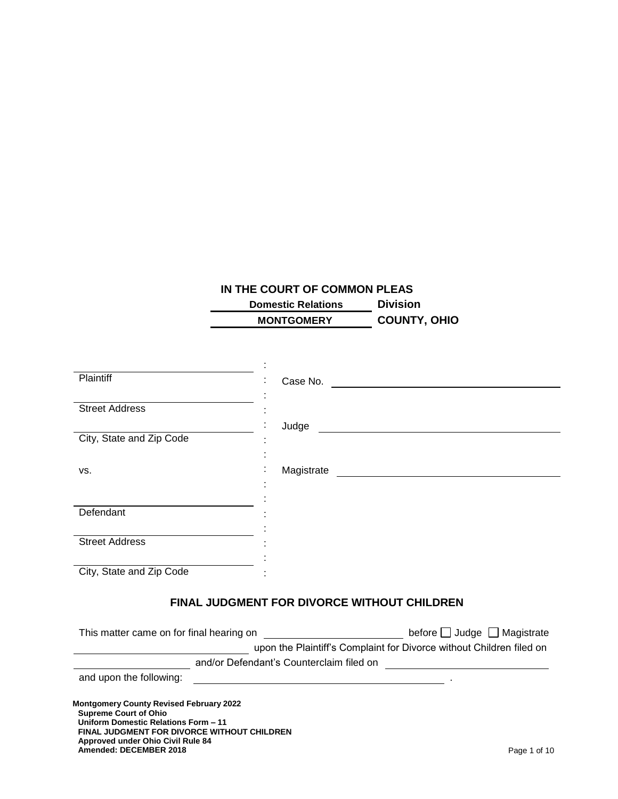# **IN THE COURT OF COMMON PLEAS**

| <b>Domestic Relations</b> | <b>Division</b>     |
|---------------------------|---------------------|
| <b>MONTGOMERY</b>         | <b>COUNTY, OHIO</b> |
|                           |                     |

| <b>Plaintiff</b>                                                                                                                                                                                                                     | Case No.                                                                                                                       |
|--------------------------------------------------------------------------------------------------------------------------------------------------------------------------------------------------------------------------------------|--------------------------------------------------------------------------------------------------------------------------------|
| <b>Street Address</b>                                                                                                                                                                                                                |                                                                                                                                |
|                                                                                                                                                                                                                                      | Judge<br><u> 1989 - Johann Harry Harry Harry Harry Harry Harry Harry Harry Harry Harry Harry Harry Harry Harry Harry Harry</u> |
| City, State and Zip Code                                                                                                                                                                                                             |                                                                                                                                |
| VS.                                                                                                                                                                                                                                  | Magistrate                                                                                                                     |
|                                                                                                                                                                                                                                      |                                                                                                                                |
| Defendant                                                                                                                                                                                                                            |                                                                                                                                |
| <b>Street Address</b>                                                                                                                                                                                                                |                                                                                                                                |
| City, State and Zip Code                                                                                                                                                                                                             |                                                                                                                                |
|                                                                                                                                                                                                                                      | <b>FINAL JUDGMENT FOR DIVORCE WITHOUT CHILDREN</b>                                                                             |
|                                                                                                                                                                                                                                      | This matter came on for final hearing on _______________________________ before □ Judge □ Magistrate                           |
|                                                                                                                                                                                                                                      | upon the Plaintiff's Complaint for Divorce without Children filed on                                                           |
| and upon the following:                                                                                                                                                                                                              |                                                                                                                                |
| <b>Montgomery County Revised February 2022</b><br><b>Supreme Court of Ohio</b><br>Uniform Domestic Relations Form - 11<br>FINAL JUDGMENT FOR DIVORCE WITHOUT CHILDREN<br>Approved under Ohio Civil Rule 84<br>Amended: DECEMBER 2018 | Page 1 of 10                                                                                                                   |
|                                                                                                                                                                                                                                      |                                                                                                                                |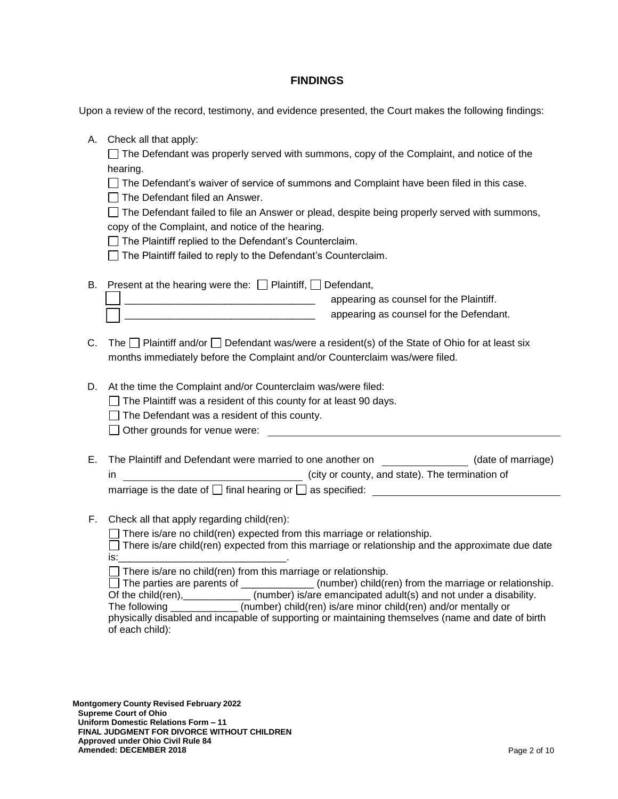#### **FINDINGS**

Upon a review of the record, testimony, and evidence presented, the Court makes the following findings:

A. Check all that apply:

 $\Box$  The Defendant was properly served with summons, copy of the Complaint, and notice of the hearing.

 $\Box$  The Defendant's waiver of service of summons and Complaint have been filed in this case.

 $\Box$  The Defendant filed an Answer.

 $\Box$  The Defendant failed to file an Answer or plead, despite being properly served with summons, copy of the Complaint, and notice of the hearing.

 $\Box$  The Plaintiff replied to the Defendant's Counterclaim.

 $\Box$  The Plaintiff failed to reply to the Defendant's Counterclaim.

|  | B. Present at the hearing were the: $\Box$ Plaintiff, $\Box$ Defendant, |                                         |
|--|-------------------------------------------------------------------------|-----------------------------------------|
|  |                                                                         | appearing as counsel for the Plaintiff. |
|  |                                                                         | appearing as counsel for the Defendant. |

- C. The  $\Box$  Plaintiff and/or  $\Box$  Defendant was/were a resident(s) of the State of Ohio for at least six months immediately before the Complaint and/or Counterclaim was/were filed.
- D. At the time the Complaint and/or Counterclaim was/were filed:

 $\Box$  The Plaintiff was a resident of this county for at least 90 days.

 $\Box$  The Defendant was a resident of this county.

◯ Other grounds for venue were:

- E. The Plaintiff and Defendant were married to one another on (date of marriage) in  $\sqrt{1 - \frac{1}{n}}$  (city or county, and state). The termination of marriage is the date of  $\Box$  final hearing or  $\Box$  as specified:  $\Box$
- F. Check all that apply regarding child(ren):

 $\Box$  There is/are no child(ren) expected from this marriage or relationship.

 $\Box$  There is/are child(ren) expected from this marriage or relationship and the approximate due date is:\_\_\_\_\_\_\_\_\_\_\_\_\_\_\_\_\_\_\_\_\_\_\_\_\_\_\_\_\_\_.

 $\Box$  There is/are no child(ren) from this marriage or relationship.

The parties are parents of  $\Box$  (number) child(ren) from the marriage or relationship.

Of the child(ren), \_\_\_\_\_\_\_\_\_\_\_\_\_ (number) is/are emancipated adult(s) and not under a disability. The following \_\_\_\_\_\_\_\_\_\_\_\_ (number) child(ren) is/are minor child(ren) and/or mentally or

physically disabled and incapable of supporting or maintaining themselves (name and date of birth of each child):

**Montgomery County Revised February 2022 Supreme Court of Ohio Uniform Domestic Relations Form – 11 FINAL JUDGMENT FOR DIVORCE WITHOUT CHILDREN Approved under Ohio Civil Rule 84 Amended: DECEMBER 2018** Page 2 of 10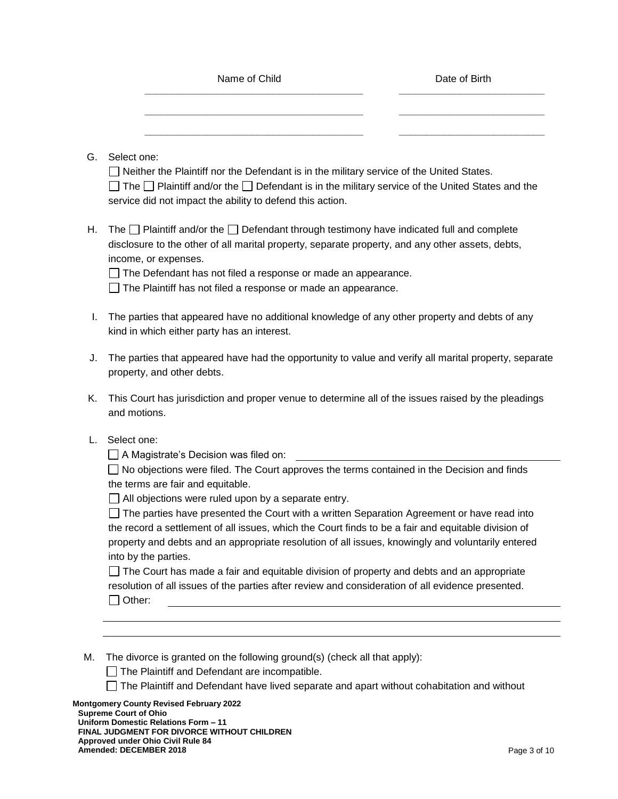|    |                                                                                                                                                                                                                                                                                                                                                                                       | Date of Birth |  |
|----|---------------------------------------------------------------------------------------------------------------------------------------------------------------------------------------------------------------------------------------------------------------------------------------------------------------------------------------------------------------------------------------|---------------|--|
|    |                                                                                                                                                                                                                                                                                                                                                                                       |               |  |
| G. | Select one:<br>Neither the Plaintiff nor the Defendant is in the military service of the United States.<br>The $\Box$ Plaintiff and/or the $\Box$ Defendant is in the military service of the United States and the<br>service did not impact the ability to defend this action.                                                                                                      |               |  |
| Η. | The $\Box$ Plaintiff and/or the $\Box$ Defendant through testimony have indicated full and complete<br>disclosure to the other of all marital property, separate property, and any other assets, debts,<br>income, or expenses.<br>The Defendant has not filed a response or made an appearance.<br>The Plaintiff has not filed a response or made an appearance.                     |               |  |
| I. | The parties that appeared have no additional knowledge of any other property and debts of any<br>kind in which either party has an interest.                                                                                                                                                                                                                                          |               |  |
| J. | The parties that appeared have had the opportunity to value and verify all marital property, separate<br>property, and other debts.                                                                                                                                                                                                                                                   |               |  |
| Κ. | This Court has jurisdiction and proper venue to determine all of the issues raised by the pleadings<br>and motions.                                                                                                                                                                                                                                                                   |               |  |
| L. | Select one:<br>$\Box$ A Magistrate's Decision was filed on:                                                                                                                                                                                                                                                                                                                           |               |  |
|    | $\Box$ No objections were filed. The Court approves the terms contained in the Decision and finds<br>the terms are fair and equitable.                                                                                                                                                                                                                                                |               |  |
|    | All objections were ruled upon by a separate entry.<br>The parties have presented the Court with a written Separation Agreement or have read into<br>the record a settlement of all issues, which the Court finds to be a fair and equitable division of<br>property and debts and an appropriate resolution of all issues, knowingly and voluntarily entered<br>into by the parties. |               |  |
|    | The Court has made a fair and equitable division of property and debts and an appropriate<br>resolution of all issues of the parties after review and consideration of all evidence presented.<br>Other:                                                                                                                                                                              |               |  |

The Plaintiff and Defendant have lived separate and apart without cohabitation and without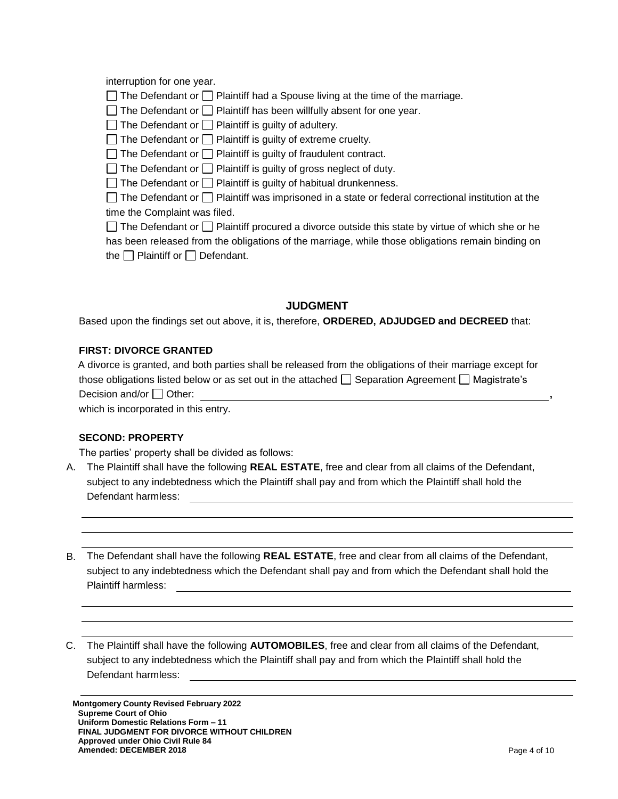interruption for one year.

 $\Box$  The Defendant or  $\Box$  Plaintiff had a Spouse living at the time of the marriage.

 $\Box$  The Defendant or  $\Box$  Plaintiff has been willfully absent for one year.

 $\Box$  The Defendant or  $\Box$  Plaintiff is guilty of adultery.

 $\Box$  The Defendant or  $\Box$  Plaintiff is guilty of extreme cruelty.

 $\Box$  The Defendant or  $\Box$  Plaintiff is guilty of fraudulent contract.

 $\Box$  The Defendant or  $\Box$  Plaintiff is guilty of gross neglect of duty.

 $\Box$  The Defendant or  $\Box$  Plaintiff is guilty of habitual drunkenness.

 $\Box$  The Defendant or  $\Box$  Plaintiff was imprisoned in a state or federal correctional institution at the time the Complaint was filed.

| $\Box$ The Defendant or $\Box$ Plaintiff procured a divorce outside this state by virtue of which she or he |
|-------------------------------------------------------------------------------------------------------------|
| has been released from the obligations of the marriage, while those obligations remain binding on           |
| the $\Box$ Plaintiff or $\Box$ Defendant.                                                                   |

# **JUDGMENT**

Based upon the findings set out above, it is, therefore, **ORDERED, ADJUDGED and DECREED** that:

# **FIRST: DIVORCE GRANTED**

| A divorce is granted, and both parties shall be released from the obligations of their marriage except for   |  |
|--------------------------------------------------------------------------------------------------------------|--|
| those obligations listed below or as set out in the attached $\Box$ Separation Agreement $\Box$ Magistrate's |  |
| Decision and/or $\Box$ Other:                                                                                |  |
| which is incornorated in this entry                                                                          |  |

which is incorporated in this entry.

# **SECOND: PROPERTY**

The parties' property shall be divided as follows:

A. The Plaintiff shall have the following **REAL ESTATE**, free and clear from all claims of the Defendant, subject to any indebtedness which the Plaintiff shall pay and from which the Plaintiff shall hold the Defendant harmless:

B. The Defendant shall have the following **REAL ESTATE**, free and clear from all claims of the Defendant, subject to any indebtedness which the Defendant shall pay and from which the Defendant shall hold the Plaintiff harmless:

C. The Plaintiff shall have the following **AUTOMOBILES**, free and clear from all claims of the Defendant, subject to any indebtedness which the Plaintiff shall pay and from which the Plaintiff shall hold the Defendant harmless: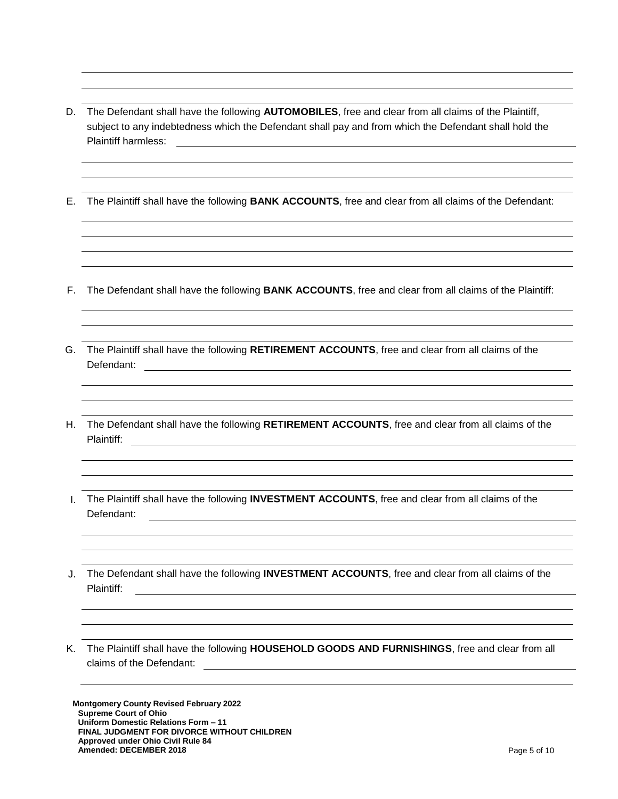- D. The Defendant shall have the following **AUTOMOBILES**, free and clear from all claims of the Plaintiff, subject to any indebtedness which the Defendant shall pay and from which the Defendant shall hold the Plaintiff harmless:
- E. The Plaintiff shall have the following **BANK ACCOUNTS**, free and clear from all claims of the Defendant:
- F. The Defendant shall have the following **BANK ACCOUNTS**, free and clear from all claims of the Plaintiff:
- G. The Plaintiff shall have the following **RETIREMENT ACCOUNTS**, free and clear from all claims of the Defendant:
- H. The Defendant shall have the following **RETIREMENT ACCOUNTS**, free and clear from all claims of the Plaintiff:
- I. The Plaintiff shall have the following **INVESTMENT ACCOUNTS**, free and clear from all claims of the Defendant:
- J. The Defendant shall have the following **INVESTMENT ACCOUNTS**, free and clear from all claims of the Plaintiff:
- K. The Plaintiff shall have the following **HOUSEHOLD GOODS AND FURNISHINGS**, free and clear from all claims of the Defendant:

**Montgomery County Revised February 2022 Supreme Court of Ohio Uniform Domestic Relations Form – 11 FINAL JUDGMENT FOR DIVORCE WITHOUT CHILDREN Approved under Ohio Civil Rule 84 Amended: DECEMBER 2018** Page 5 of 10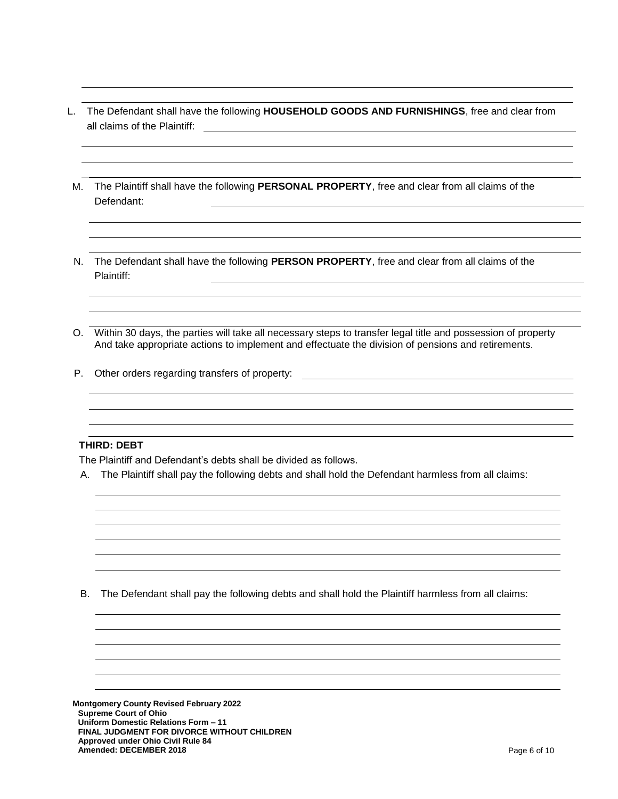- L. The Defendant shall have the following **HOUSEHOLD GOODS AND FURNISHINGS**, free and clear from all claims of the Plaintiff:
- M. The Plaintiff shall have the following **PERSONAL PROPERTY**, free and clear from all claims of the Defendant:
- N. The Defendant shall have the following **PERSON PROPERTY**, free and clear from all claims of the Plaintiff:
- O. Within 30 days, the parties will take all necessary steps to transfer legal title and possession of property And take appropriate actions to implement and effectuate the division of pensions and retirements.
- P. Other orders regarding transfers of property:

#### **THIRD: DEBT**

The Plaintiff and Defendant's debts shall be divided as follows.

A. The Plaintiff shall pay the following debts and shall hold the Defendant harmless from all claims:

B. The Defendant shall pay the following debts and shall hold the Plaintiff harmless from all claims:

**Montgomery County Revised February 2022 Supreme Court of Ohio Uniform Domestic Relations Form – 11 FINAL JUDGMENT FOR DIVORCE WITHOUT CHILDREN Approved under Ohio Civil Rule 84 Amended: DECEMBER 2018** Page 6 of 10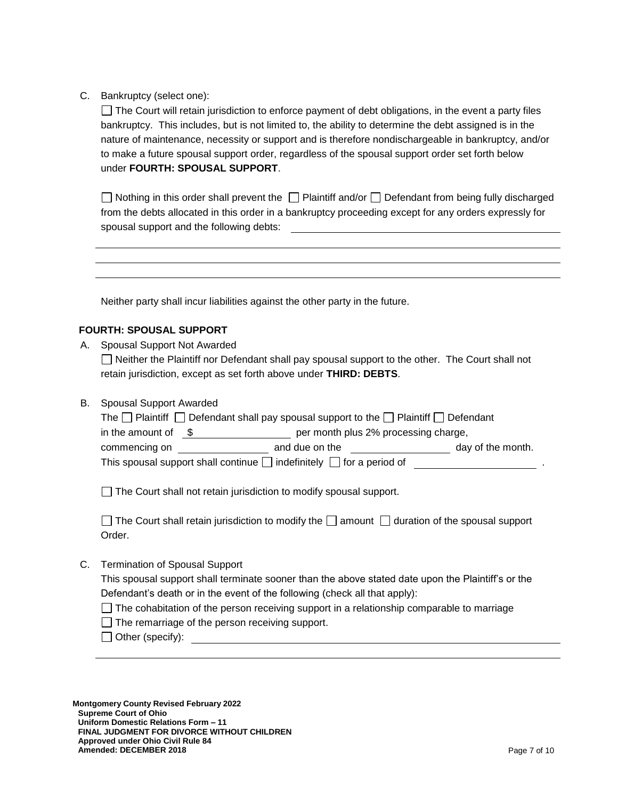C. Bankruptcy (select one):

 $\Box$  The Court will retain jurisdiction to enforce payment of debt obligations, in the event a party files bankruptcy. This includes, but is not limited to, the ability to determine the debt assigned is in the nature of maintenance, necessity or support and is therefore nondischargeable in bankruptcy, and/or to make a future spousal support order, regardless of the spousal support order set forth below under **FOURTH: SPOUSAL SUPPORT**.

 $\Box$  Nothing in this order shall prevent the  $\Box$  Plaintiff and/or  $\Box$  Defendant from being fully discharged from the debts allocated in this order in a bankruptcy proceeding except for any orders expressly for spousal support and the following debts:

Neither party shall incur liabilities against the other party in the future.

# **FOURTH: SPOUSAL SUPPORT**

A. Spousal Support Not Awarded

□ Neither the Plaintiff nor Defendant shall pay spousal support to the other. The Court shall not retain jurisdiction, except as set forth above under **THIRD: DEBTS**.

B. Spousal Support Awarded

| The $\Box$ Plaintiff $\Box$ Defendant shall pay spousal support to the $\Box$ Plaintiff $\Box$ Defendant |                |                   |  |
|----------------------------------------------------------------------------------------------------------|----------------|-------------------|--|
| per month plus 2% processing charge,<br>in the amount of                                                 |                |                   |  |
| commencing on                                                                                            | and due on the | day of the month. |  |
| This spousal support shall continue $\Box$ indefinitely $\Box$ for a period of                           |                |                   |  |

The Court shall not retain jurisdiction to modify spousal support.

| $\Box$ The Court shall retain jurisdiction to modify the $\Box$ amount $\Box$ duration of the spousal support |  |
|---------------------------------------------------------------------------------------------------------------|--|
| Order.                                                                                                        |  |

C. Termination of Spousal Support

This spousal support shall terminate sooner than the above stated date upon the Plaintiff's or the Defendant's death or in the event of the following (check all that apply):

- $\Box$  The cohabitation of the person receiving support in a relationship comparable to marriage
- $\Box$  The remarriage of the person receiving support.
- Other (specify):

**Montgomery County Revised February 2022 Supreme Court of Ohio Uniform Domestic Relations Form – 11 FINAL JUDGMENT FOR DIVORCE WITHOUT CHILDREN Approved under Ohio Civil Rule 84 Amended: DECEMBER 2018** Page 7 of 10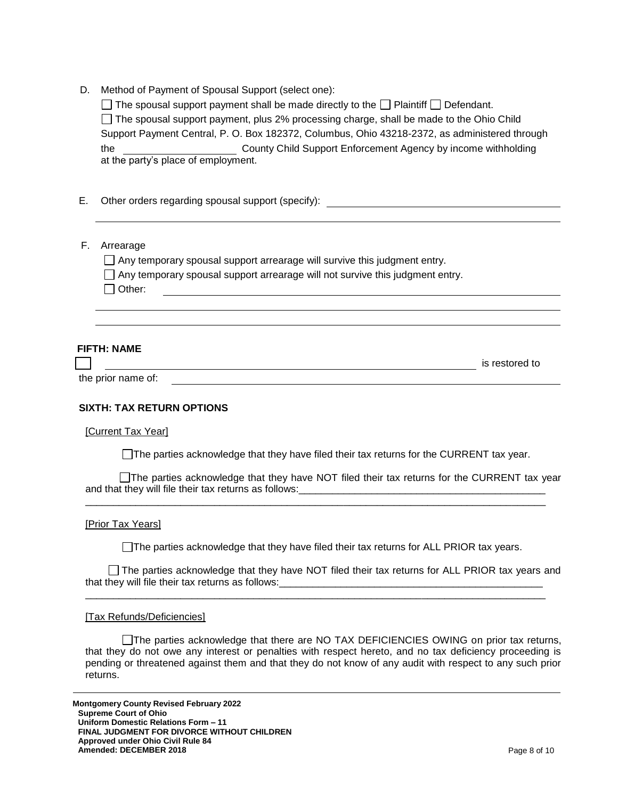| Method of Payment of Spousal Support (select one):<br>D. |  |
|----------------------------------------------------------|--|
|----------------------------------------------------------|--|

| $\Box$ The spousal support payment shall be made directly to the $\Box$ Plaintiff $\Box$ Defendant. |                                                               |  |  |
|-----------------------------------------------------------------------------------------------------|---------------------------------------------------------------|--|--|
| □ The spousal support payment, plus 2% processing charge, shall be made to the Ohio Child           |                                                               |  |  |
| Support Payment Central, P. O. Box 182372, Columbus, Ohio 43218-2372, as administered through       |                                                               |  |  |
| the                                                                                                 | County Child Support Enforcement Agency by income withholding |  |  |
| at the party's place of employment.                                                                 |                                                               |  |  |

- E. Other orders regarding spousal support (specify):
- F. Arrearage

 $\Box$  Any temporary spousal support arrearage will survive this judgment entry.

 $\Box$  Any temporary spousal support arrearage will not survive this judgment entry.

 $\Box$  Other:

# **FIFTH: NAME**

**is restored to** is restored to

#### **SIXTH: TAX RETURN OPTIONS**

#### [Current Tax Year]

the prior name of:

The parties acknowledge that they have filed their tax returns for the CURRENT tax year.

The parties acknowledge that they have NOT filed their tax returns for the CURRENT tax year and that they will file their tax returns as follows:

\_\_\_\_\_\_\_\_\_\_\_\_\_\_\_\_\_\_\_\_\_\_\_\_\_\_\_\_\_\_\_\_\_\_\_\_\_\_\_\_\_\_\_\_\_\_\_\_\_\_\_\_\_\_\_\_\_\_\_\_\_\_\_\_\_\_\_\_\_\_\_\_\_\_\_\_\_\_\_\_\_\_

#### [Prior Tax Years]

The parties acknowledge that they have filed their tax returns for ALL PRIOR tax years.

The parties acknowledge that they have NOT filed their tax returns for ALL PRIOR tax years and that they will file their tax returns as follows: \_\_\_\_\_\_\_\_\_\_\_\_\_\_\_\_\_\_\_\_\_\_\_\_\_\_\_\_\_\_\_

\_\_\_\_\_\_\_\_\_\_\_\_\_\_\_\_\_\_\_\_\_\_\_\_\_\_\_\_\_\_\_\_\_\_\_\_\_\_\_\_\_\_\_\_\_\_\_\_\_\_\_\_\_\_\_\_\_\_\_\_\_\_\_\_\_\_\_\_\_\_\_\_\_\_\_\_\_\_\_\_\_\_

#### [Tax Refunds/Deficiencies]

□The parties acknowledge that there are NO TAX DEFICIENCIES OWING on prior tax returns, that they do not owe any interest or penalties with respect hereto, and no tax deficiency proceeding is pending or threatened against them and that they do not know of any audit with respect to any such prior returns.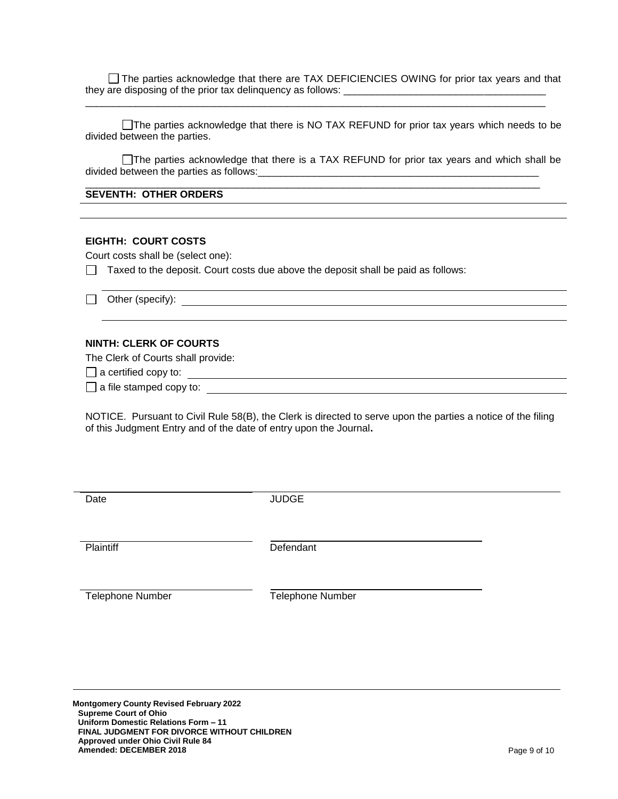The parties acknowledge that there are TAX DEFICIENCIES OWING for prior tax years and that they are disposing of the prior tax delinquency as follows: \_\_\_\_\_\_\_\_\_\_\_\_\_\_\_\_\_\_\_\_\_\_\_\_\_\_\_\_\_\_\_\_\_\_\_\_

\_\_\_\_\_\_\_\_\_\_\_\_\_\_\_\_\_\_\_\_\_\_\_\_\_\_\_\_\_\_\_\_\_\_\_\_\_\_\_\_\_\_\_\_\_\_\_\_\_\_\_\_\_\_\_\_\_\_\_\_\_\_\_\_\_\_\_\_\_\_\_\_\_\_\_\_\_\_\_\_\_\_

The parties acknowledge that there is NO TAX REFUND for prior tax years which needs to be divided between the parties.

The parties acknowledge that there is a TAX REFUND for prior tax years and which shall be divided between the parties as follows:\_\_\_\_\_\_\_\_\_\_\_\_\_\_\_\_\_\_\_\_\_\_\_\_\_\_\_\_\_\_\_\_\_\_\_\_\_\_\_\_\_\_\_\_\_\_\_\_\_\_

\_\_\_\_\_\_\_\_\_\_\_\_\_\_\_\_\_\_\_\_\_\_\_\_\_\_\_\_\_\_\_\_\_\_\_\_\_\_\_\_\_\_\_\_\_\_\_\_\_\_\_\_\_\_\_\_\_\_\_\_\_\_\_\_\_\_\_\_\_\_\_\_\_\_\_\_\_\_\_\_\_

#### **SEVENTH: OTHER ORDERS**

#### **EIGHTH: COURT COSTS**

Court costs shall be (select one):

 $\Box$  Taxed to the deposit. Court costs due above the deposit shall be paid as follows:

□ Other (specify):  $\Box$ 

#### **NINTH: CLERK OF COURTS**

The Clerk of Courts shall provide:

 $\Box$  a certified copy to:  $\Box$ 

 $\Box$  a file stamped copy to:  $\Box$ 

NOTICE. Pursuant to Civil Rule 58(B), the Clerk is directed to serve upon the parties a notice of the filing of this Judgment Entry and of the date of entry upon the Journal**.**

| Date                    | <b>JUDGE</b>            |  |
|-------------------------|-------------------------|--|
|                         |                         |  |
| Plaintiff               | Defendant               |  |
| <b>Telephone Number</b> | <b>Telephone Number</b> |  |
|                         |                         |  |

**Montgomery County Revised February 2022 Supreme Court of Ohio Uniform Domestic Relations Form – 11 FINAL JUDGMENT FOR DIVORCE WITHOUT CHILDREN Approved under Ohio Civil Rule 84 Amended: DECEMBER 2018** Page 9 of 10